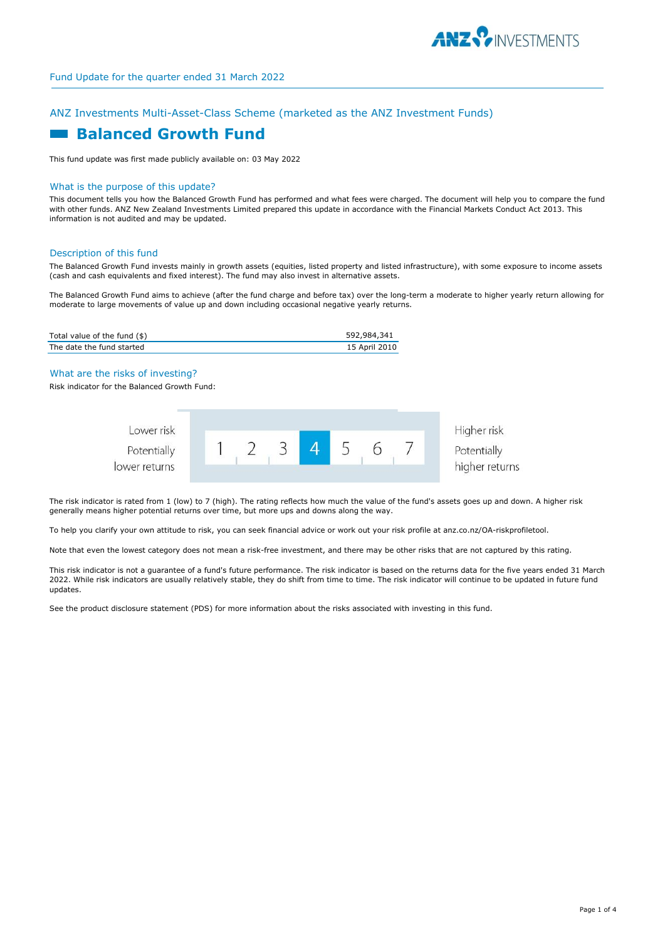

returns

# ANZ Investments Multi-Asset-Class Scheme (marketed as the ANZ Investment Funds)

# **Balanced Growth Fund**

This fund update was first made publicly available on: 03 May 2022

#### What is the purpose of this update?

This document tells you how the Balanced Growth Fund has performed and what fees were charged. The document will help you to compare the fund with other funds. ANZ New Zealand Investments Limited prepared this update in accordance with the Financial Markets Conduct Act 2013. This information is not audited and may be updated.

#### Description of this fund

The Balanced Growth Fund invests mainly in growth assets (equities, listed property and listed infrastructure), with some exposure to income assets (cash and cash equivalents and fixed interest). The fund may also invest in alternative assets.

The Balanced Growth Fund aims to achieve (after the fund charge and before tax) over the long-term a moderate to higher yearly return allowing for moderate to large movements of value up and down including occasional negative yearly returns.

| Total value of the fund (\$) | 592,984,341   |
|------------------------------|---------------|
| The date the fund started    | 15 April 2010 |

What are the risks of investing?

Risk indicator for the Balanced Growth Fund:

| Lower risk<br>Potentially |  |  |  | Higher risk<br>Potentially |
|---------------------------|--|--|--|----------------------------|
| lower returns             |  |  |  | higher retu                |

The risk indicator is rated from 1 (low) to 7 (high). The rating reflects how much the value of the fund's assets goes up and down. A higher risk generally means higher potential returns over time, but more ups and downs along the way.

To help you clarify your own attitude to risk, you can seek financial advice or work out your risk profile at anz.co.nz/OA-riskprofiletool.

Note that even the lowest category does not mean a risk-free investment, and there may be other risks that are not captured by this rating.

This risk indicator is not a guarantee of a fund's future performance. The risk indicator is based on the returns data for the five years ended 31 March 2022. While risk indicators are usually relatively stable, they do shift from time to time. The risk indicator will continue to be updated in future fund updates.

See the product disclosure statement (PDS) for more information about the risks associated with investing in this fund.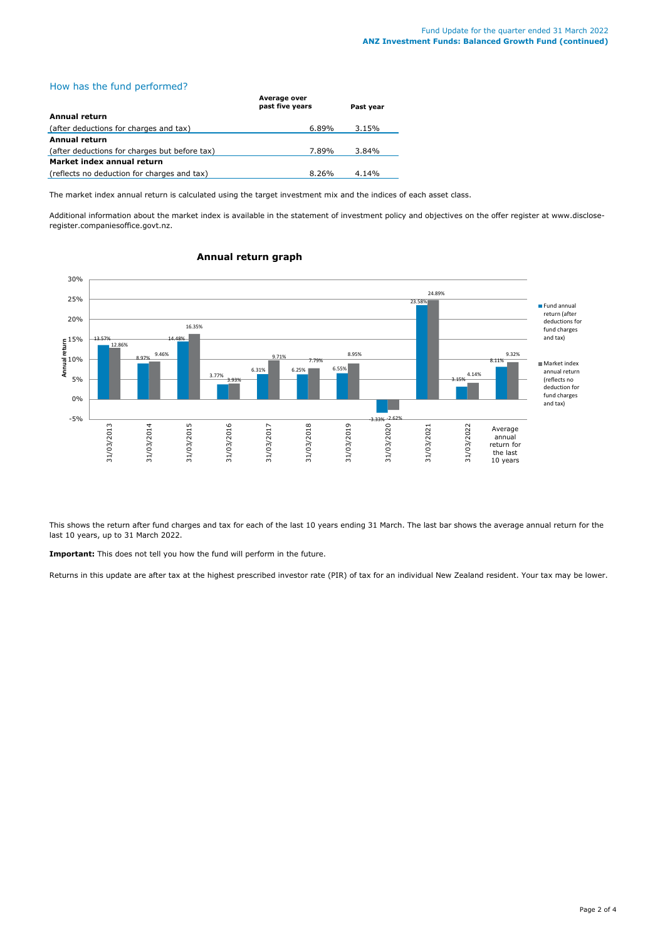# How has the fund performed?

|                                               | Average over<br>past five years | Past vear |  |
|-----------------------------------------------|---------------------------------|-----------|--|
| Annual return                                 |                                 |           |  |
| (after deductions for charges and tax)        | 6.89%                           | 3.15%     |  |
| Annual return                                 |                                 |           |  |
| (after deductions for charges but before tax) | 7.89%                           | 3.84%     |  |
| Market index annual return                    |                                 |           |  |
| (reflects no deduction for charges and tax)   | 8.26%                           | 4.14%     |  |

The market index annual return is calculated using the target investment mix and the indices of each asset class.

Additional information about the market index is available in the statement of investment policy and objectives on the offer register at www.discloseregister.companiesoffice.govt.nz.



#### **Annual return graph**

This shows the return after fund charges and tax for each of the last 10 years ending 31 March. The last bar shows the average annual return for the last 10 years, up to 31 March 2022.

**Important:** This does not tell you how the fund will perform in the future.

Returns in this update are after tax at the highest prescribed investor rate (PIR) of tax for an individual New Zealand resident. Your tax may be lower.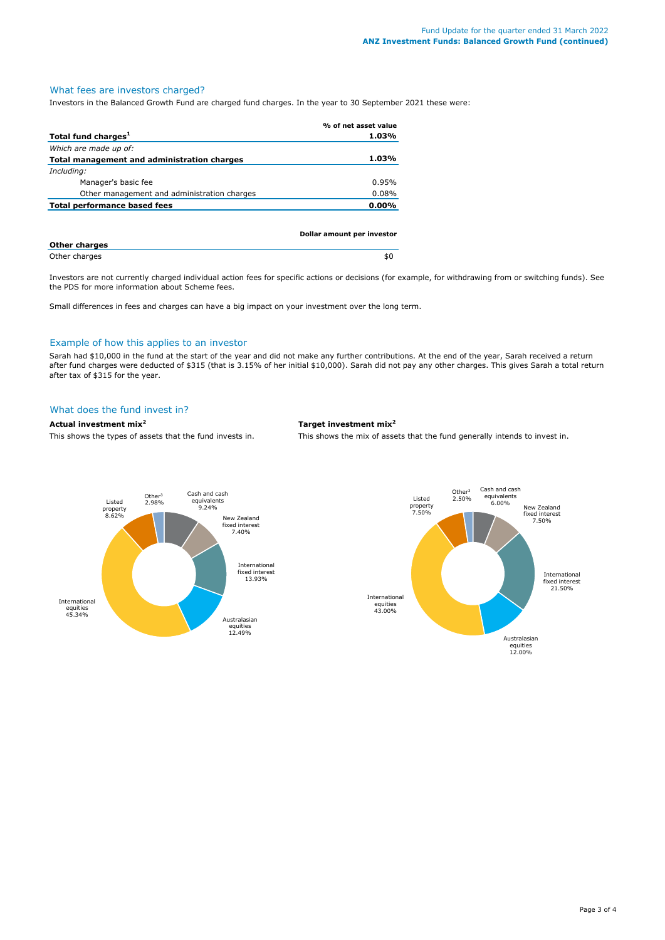# What fees are investors charged?

Investors in the Balanced Growth Fund are charged fund charges. In the year to 30 September 2021 these were:

|                                             | % of net asset value       |
|---------------------------------------------|----------------------------|
| Total fund charges <sup>1</sup>             | $1.03\%$                   |
| Which are made up of:                       |                            |
| Total management and administration charges | 1.03%                      |
| Including:                                  |                            |
| Manager's basic fee                         | 0.95%                      |
| Other management and administration charges | 0.08%                      |
| <b>Total performance based fees</b>         | $0.00\%$                   |
|                                             |                            |
|                                             |                            |
| Othau ahaunaa                               | Dollar amount per investor |

| <b>Other charges</b> |  |
|----------------------|--|
| Other charges        |  |

Investors are not currently charged individual action fees for specific actions or decisions (for example, for withdrawing from or switching funds). See the PDS for more information about Scheme fees.

Small differences in fees and charges can have a big impact on your investment over the long term.

#### Example of how this applies to an investor

Sarah had \$10,000 in the fund at the start of the year and did not make any further contributions. At the end of the year, Sarah received a return after fund charges were deducted of \$315 (that is 3.15% of her initial \$10,000). Sarah did not pay any other charges. This gives Sarah a total return after tax of \$315 for the year.

## What does the fund invest in?

### **Actual investment mix<sup>2</sup> Target investment mix<sup>2</sup>**

This shows the types of assets that the fund invests in. This shows the mix of assets that the fund generally intends to invest in.